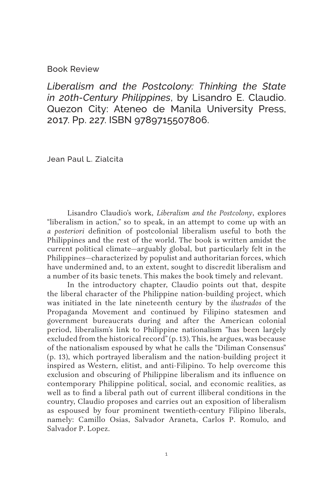Book Review

*Liberalism and the Postcolony: Thinking the State in 20th-Century Philippines*, by Lisandro E. Claudio. Quezon City: Ateneo de Manila University Press, 2017. Pp. 227. ISBN 9789715507806.

Jean Paul L. Zialcita

Lisandro Claudio's work, *Liberalism and the Postcolony*, explores "liberalism in action," so to speak, in an attempt to come up with an *a posteriori* definition of postcolonial liberalism useful to both the Philippines and the rest of the world. The book is written amidst the current political climate—arguably global, but particularly felt in the Philippines—characterized by populist and authoritarian forces, which have undermined and, to an extent, sought to discredit liberalism and a number of its basic tenets. This makes the book timely and relevant.

In the introductory chapter, Claudio points out that, despite the liberal character of the Philippine nation-building project, which was initiated in the late nineteenth century by the *ilustrados* of the Propaganda Movement and continued by Filipino statesmen and government bureaucrats during and after the American colonial period, liberalism's link to Philippine nationalism "has been largely excluded from the historical record" (p. 13). This, he argues, was because of the nationalism espoused by what he calls the "Diliman Consensus" (p. 13), which portrayed liberalism and the nation-building project it inspired as Western, elitist, and anti-Filipino. To help overcome this exclusion and obscuring of Philippine liberalism and its influence on contemporary Philippine political, social, and economic realities, as well as to find a liberal path out of current illiberal conditions in the country, Claudio proposes and carries out an exposition of liberalism as espoused by four prominent twentieth-century Filipino liberals, namely: Camillo Osias, Salvador Araneta, Carlos P. Romulo, and Salvador P. Lopez.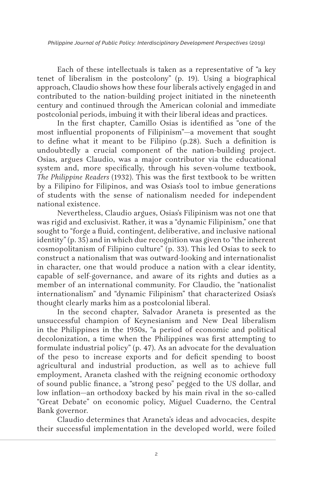*Philippine Journal of Public Policy: Interdisciplinary Development Perspectives* (2019)

Each of these intellectuals is taken as a representative of "a key tenet of liberalism in the postcolony" (p. 19). Using a biographical approach, Claudio shows how these four liberals actively engaged in and contributed to the nation-building project initiated in the nineteenth century and continued through the American colonial and immediate postcolonial periods, imbuing it with their liberal ideas and practices.

In the first chapter, Camillo Osias is identified as "one of the most influential proponents of Filipinism"—a movement that sought to define what it meant to be Filipino (p.28). Such a definition is undoubtedly a crucial component of the nation-building project. Osias, argues Claudio, was a major contributor via the educational system and, more specifically, through his seven-volume textbook, *The Philippine Readers* (1932). This was the first textbook to be written by a Filipino for Filipinos, and was Osias's tool to imbue generations of students with the sense of nationalism needed for independent national existence.

Nevertheless, Claudio argues, Osias's Filipinism was not one that was rigid and exclusivist. Rather, it was a "dynamic Filipinism," one that sought to "forge a fluid, contingent, deliberative, and inclusive national identity" (p. 35) and in which due recognition was given to "the inherent cosmopolitanism of Filipino culture" (p. 33). This led Osias to seek to construct a nationalism that was outward-looking and internationalist in character, one that would produce a nation with a clear identity, capable of self-governance, and aware of its rights and duties as a member of an international community. For Claudio, the "nationalist internationalism" and "dynamic Filipinism" that characterized Osias's thought clearly marks him as a postcolonial liberal.

In the second chapter, Salvador Araneta is presented as the unsuccessful champion of Keynesianism and New Deal liberalism in the Philippines in the 1950s, "a period of economic and political decolonization, a time when the Philippines was first attempting to formulate industrial policy" (p. 47). As an advocate for the devaluation of the peso to increase exports and for deficit spending to boost agricultural and industrial production, as well as to achieve full employment, Araneta clashed with the reigning economic orthodoxy of sound public finance, a "strong peso" pegged to the US dollar, and low inflation—an orthodoxy backed by his main rival in the so-called "Great Debate" on economic policy, Miguel Cuaderno, the Central Bank governor.

Claudio determines that Araneta's ideas and advocacies, despite their successful implementation in the developed world, were foiled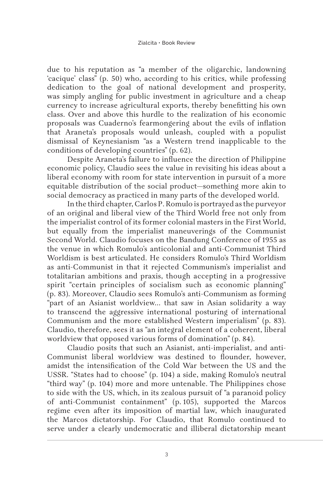due to his reputation as "a member of the oligarchic, landowning 'cacique' class" (p. 50) who, according to his critics, while professing dedication to the goal of national development and prosperity, was simply angling for public investment in agriculture and a cheap currency to increase agricultural exports, thereby benefitting his own class. Over and above this hurdle to the realization of his economic proposals was Cuaderno's fearmongering about the evils of inflation that Araneta's proposals would unleash, coupled with a populist dismissal of Keynesianism "as a Western trend inapplicable to the conditions of developing countries" (p. 62).

Despite Araneta's failure to influence the direction of Philippine economic policy, Claudio sees the value in revisiting his ideas about a liberal economy with room for state intervention in pursuit of a more equitable distribution of the social product—something more akin to social democracy as practiced in many parts of the developed world.

In the third chapter, Carlos P. Romulo is portrayed as the purveyor of an original and liberal view of the Third World free not only from the imperialist control of its former colonial masters in the First World, but equally from the imperialist maneuverings of the Communist Second World. Claudio focuses on the Bandung Conference of 1955 as the venue in which Romulo's anticolonial and anti-Communist Third Worldism is best articulated. He considers Romulo's Third Worldism as anti-Communist in that it rejected Communism's imperialist and totalitarian ambitions and praxis, though accepting in a progressive spirit "certain principles of socialism such as economic planning" (p. 83). Moreover, Claudio sees Romulo's anti-Communism as forming "part of an Asianist worldview... that saw in Asian solidarity a way to transcend the aggressive international posturing of international Communism and the more established Western imperialism" (p. 83). Claudio, therefore, sees it as "an integral element of a coherent, liberal worldview that opposed various forms of domination" (p. 84).

Claudio posits that such an Asianist, anti-imperialist, and anti-Communist liberal worldview was destined to flounder, however, amidst the intensification of the Cold War between the US and the USSR. "States had to choose" (p. 104) a side, making Romulo's neutral "third way" (p. 104) more and more untenable. The Philippines chose to side with the US, which, in its zealous pursuit of "a paranoid policy of anti-Communist containment" (p. 105), supported the Marcos regime even after its imposition of martial law, which inaugurated the Marcos dictatorship. For Claudio, that Romulo continued to serve under a clearly undemocratic and illiberal dictatorship meant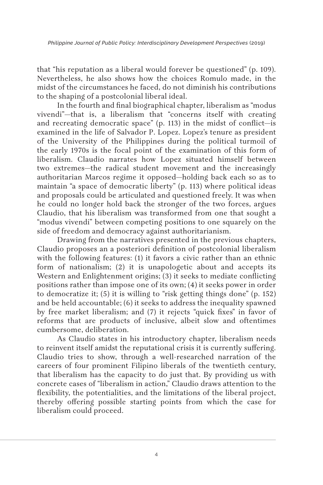that "his reputation as a liberal would forever be questioned" (p. 109). Nevertheless, he also shows how the choices Romulo made, in the midst of the circumstances he faced, do not diminish his contributions to the shaping of a postcolonial liberal ideal.

In the fourth and final biographical chapter, liberalism as "modus vivendi"—that is, a liberalism that "concerns itself with creating and recreating democratic space" (p. 113) in the midst of conflict—is examined in the life of Salvador P. Lopez. Lopez's tenure as president of the University of the Philippines during the political turmoil of the early 1970s is the focal point of the examination of this form of liberalism. Claudio narrates how Lopez situated himself between two extremes—the radical student movement and the increasingly authoritarian Marcos regime it opposed—holding back each so as to maintain "a space of democratic liberty" (p. 113) where political ideas and proposals could be articulated and questioned freely. It was when he could no longer hold back the stronger of the two forces, argues Claudio, that his liberalism was transformed from one that sought a "modus vivendi" between competing positions to one squarely on the side of freedom and democracy against authoritarianism.

Drawing from the narratives presented in the previous chapters, Claudio proposes an a posteriori definition of postcolonial liberalism with the following features: (1) it favors a civic rather than an ethnic form of nationalism; (2) it is unapologetic about and accepts its Western and Enlightenment origins; (3) it seeks to mediate conflicting positions rather than impose one of its own; (4) it seeks power in order to democratize it; (5) it is willing to "risk getting things done" (p. 152) and be held accountable; (6) it seeks to address the inequality spawned by free market liberalism; and (7) it rejects "quick fixes" in favor of reforms that are products of inclusive, albeit slow and oftentimes cumbersome, deliberation.

As Claudio states in his introductory chapter, liberalism needs to reinvent itself amidst the reputational crisis it is currently suffering. Claudio tries to show, through a well-researched narration of the careers of four prominent Filipino liberals of the twentieth century, that liberalism has the capacity to do just that. By providing us with concrete cases of "liberalism in action," Claudio draws attention to the flexibility, the potentialities, and the limitations of the liberal project, thereby offering possible starting points from which the case for liberalism could proceed.